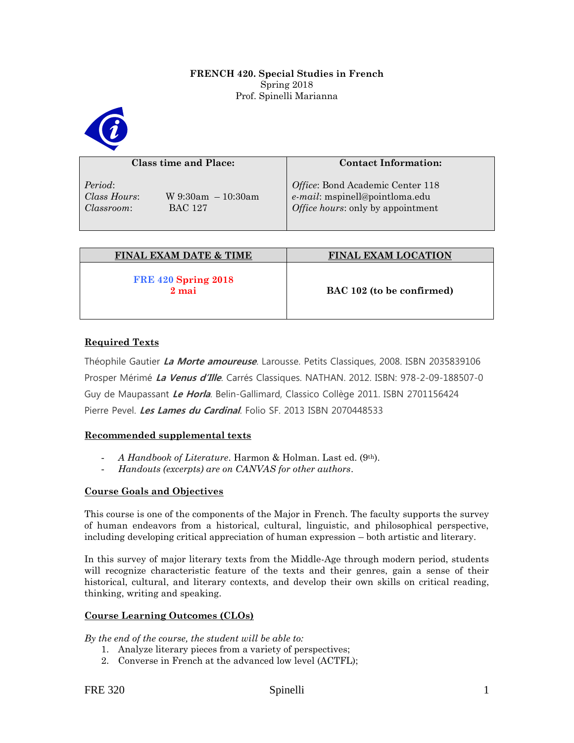## **FRENCH 420. Special Studies in French**  Spring 2018 Prof. Spinelli Marianna



| Class time and Place:                                                             | <b>Contact Information:</b>                                                                             |
|-----------------------------------------------------------------------------------|---------------------------------------------------------------------------------------------------------|
| Period:<br>Class Hours:<br>$W$ 9:30am $-10:30$ am<br><b>BAC 127</b><br>Classroom: | Office: Bond Academic Center 118<br>e-mail: mspinell@pointloma.edu<br>Office hours: only by appointment |

| <b>FINAL EXAM DATE &amp; TIME</b>     | <b>FINAL EXAM LOCATION</b> |
|---------------------------------------|----------------------------|
| <b>FRE 420 Spring 2018</b><br>$2$ mai | BAC 102 (to be confirmed)  |

# **Required Texts**

Théophile Gautier **La Morte amoureuse**. Larousse. Petits Classiques, 2008. ISBN 2035839106 Prosper Mérimé **La Venus d'Ille**. Carrés Classiques. NATHAN. 2012. ISBN: 978-2-09-188507-0 Guy de Maupassant **Le Horla**. Belin-Gallimard, Classico Collège 2011. ISBN 2701156424 Pierre Pevel. **Les Lames du Cardinal**. Folio SF. 2013 ISBN 2070448533

## **Recommended supplemental texts**

- *A Handbook of Literature*. Harmon & Holman. Last ed. (9th).
- *Handouts (excerpts) are on CANVAS for other authors*.

## **Course Goals and Objectives**

This course is one of the components of the Major in French. The faculty supports the survey of human endeavors from a historical, cultural, linguistic, and philosophical perspective, including developing critical appreciation of human expression – both artistic and literary.

In this survey of major literary texts from the Middle-Age through modern period, students will recognize characteristic feature of the texts and their genres, gain a sense of their historical, cultural, and literary contexts, and develop their own skills on critical reading, thinking, writing and speaking.

## **Course Learning Outcomes (CLOs)**

*By the end of the course, the student will be able to:*

- 1. Analyze literary pieces from a variety of perspectives;
- 2. Converse in French at the advanced low level (ACTFL);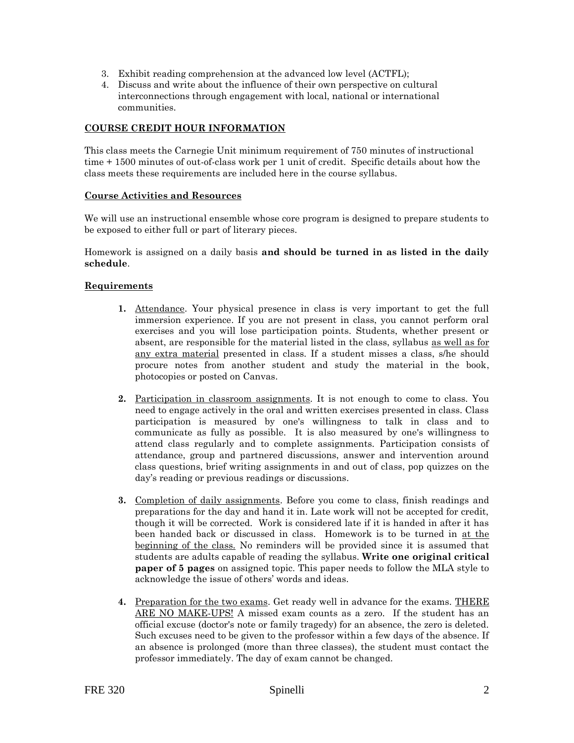- 3. Exhibit reading comprehension at the advanced low level (ACTFL);
- 4. Discuss and write about the influence of their own perspective on cultural interconnections through engagement with local, national or international communities.

## **COURSE CREDIT HOUR INFORMATION**

This class meets the Carnegie Unit minimum requirement of 750 minutes of instructional time + 1500 minutes of out-of-class work per 1 unit of credit. Specific details about how the class meets these requirements are included here in the course syllabus.

### **Course Activities and Resources**

We will use an instructional ensemble whose core program is designed to prepare students to be exposed to either full or part of literary pieces.

Homework is assigned on a daily basis **and should be turned in as listed in the daily schedule**.

### **Requirements**

- **1.** Attendance. Your physical presence in class is very important to get the full immersion experience. If you are not present in class, you cannot perform oral exercises and you will lose participation points. Students, whether present or absent, are responsible for the material listed in the class, syllabus as well as for any extra material presented in class. If a student misses a class, s/he should procure notes from another student and study the material in the book, photocopies or posted on Canvas.
- **2.** Participation in classroom assignments. It is not enough to come to class. You need to engage actively in the oral and written exercises presented in class. Class participation is measured by one's willingness to talk in class and to communicate as fully as possible. It is also measured by one's willingness to attend class regularly and to complete assignments. Participation consists of attendance, group and partnered discussions, answer and intervention around class questions, brief writing assignments in and out of class, pop quizzes on the day's reading or previous readings or discussions.
- **3.** Completion of daily assignments. Before you come to class, finish readings and preparations for the day and hand it in. Late work will not be accepted for credit, though it will be corrected. Work is considered late if it is handed in after it has been handed back or discussed in class. Homework is to be turned in at the beginning of the class. No reminders will be provided since it is assumed that students are adults capable of reading the syllabus. **Write one original critical paper of 5 pages** on assigned topic. This paper needs to follow the MLA style to acknowledge the issue of others' words and ideas.
- **4.** Preparation for the two exams. Get ready well in advance for the exams. THERE ARE NO MAKE-UPS! A missed exam counts as a zero. If the student has an official excuse (doctor's note or family tragedy) for an absence, the zero is deleted. Such excuses need to be given to the professor within a few days of the absence. If an absence is prolonged (more than three classes), the student must contact the professor immediately. The day of exam cannot be changed.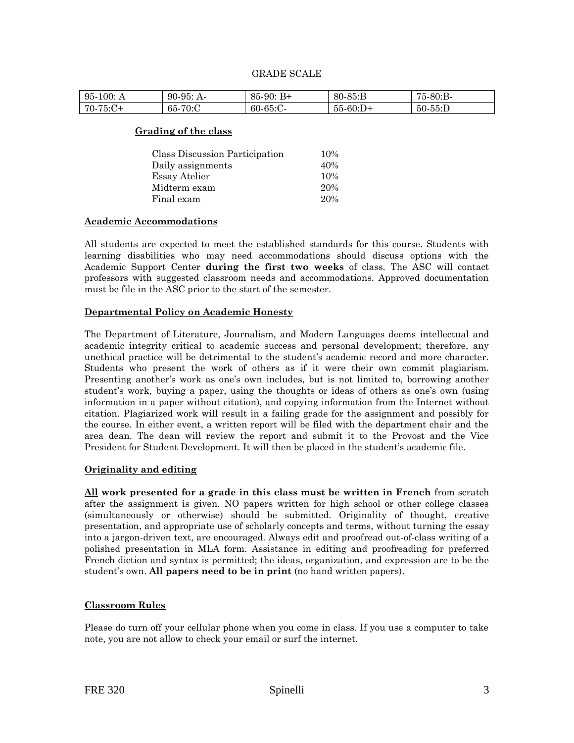| 95.<br>-100: A   | 95: A<br>90-    | $B+$<br>$85-90:$ | $80 - 85 : B$ | 75-80:B-   |
|------------------|-----------------|------------------|---------------|------------|
| $75:C+$<br>$70-$ | $-70:$ C<br>65- | $60-65$ :C-      | $55-60:D+$    | $50-55$ :D |

#### **Grading of the class**

| Class Discussion Participation | 10% |
|--------------------------------|-----|
| Daily assignments              | 40% |
| Essay Atelier                  | 10% |
| Midterm exam                   | 20% |
| Final exam                     | 20% |

#### **Academic Accommodations**

All students are expected to meet the established standards for this course. Students with learning disabilities who may need accommodations should discuss options with the Academic Support Center **during the first two weeks** of class. The ASC will contact professors with suggested classroom needs and accommodations. Approved documentation must be file in the ASC prior to the start of the semester.

#### **Departmental Policy on Academic Honesty**

The Department of Literature, Journalism, and Modern Languages deems intellectual and academic integrity critical to academic success and personal development; therefore, any unethical practice will be detrimental to the student's academic record and more character. Students who present the work of others as if it were their own commit plagiarism. Presenting another's work as one's own includes, but is not limited to, borrowing another student's work, buying a paper, using the thoughts or ideas of others as one's own (using information in a paper without citation), and copying information from the Internet without citation. Plagiarized work will result in a failing grade for the assignment and possibly for the course. In either event, a written report will be filed with the department chair and the area dean. The dean will review the report and submit it to the Provost and the Vice President for Student Development. It will then be placed in the student's academic file.

#### **Originality and editing**

**All work presented for a grade in this class must be written in French** from scratch after the assignment is given. NO papers written for high school or other college classes (simultaneously or otherwise) should be submitted. Originality of thought, creative presentation, and appropriate use of scholarly concepts and terms, without turning the essay into a jargon-driven text, are encouraged. Always edit and proofread out-of-class writing of a polished presentation in MLA form. Assistance in editing and proofreading for preferred French diction and syntax is permitted; the ideas, organization, and expression are to be the student's own. **All papers need to be in print** (no hand written papers).

#### **Classroom Rules**

Please do turn off your cellular phone when you come in class. If you use a computer to take note, you are not allow to check your email or surf the internet.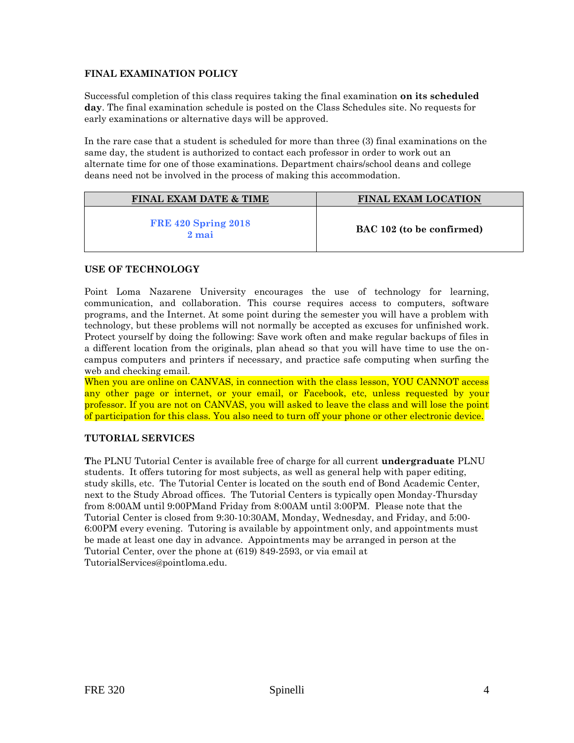## **FINAL EXAMINATION POLICY**

Successful completion of this class requires taking the final examination **on its scheduled day**. The final examination schedule is posted on the Class Schedules site. No requests for early examinations or alternative days will be approved.

In the rare case that a student is scheduled for more than three (3) final examinations on the same day, the student is authorized to contact each professor in order to work out an alternate time for one of those examinations. Department chairs/school deans and college deans need not be involved in the process of making this accommodation.

| <b>FINAL EXAM DATE &amp; TIME</b>     | <b>FINAL EXAM LOCATION</b> |
|---------------------------------------|----------------------------|
| <b>FRE 420 Spring 2018</b><br>$2$ mai | BAC 102 (to be confirmed)  |

## **USE OF TECHNOLOGY**

Point Loma Nazarene University encourages the use of technology for learning, communication, and collaboration. This course requires access to computers, software programs, and the Internet. At some point during the semester you will have a problem with technology, but these problems will not normally be accepted as excuses for unfinished work. Protect yourself by doing the following: Save work often and make regular backups of files in a different location from the originals, plan ahead so that you will have time to use the oncampus computers and printers if necessary, and practice safe computing when surfing the web and checking email.

When you are online on CANVAS, in connection with the class lesson, YOU CANNOT access any other page or internet, or your email, or Facebook, etc, unless requested by your professor. If you are not on CANVAS, you will asked to leave the class and will lose the point of participation for this class. You also need to turn off your phone or other electronic device.

## **TUTORIAL SERVICES**

**T**he PLNU Tutorial Center is available free of charge for all current **undergraduate** PLNU students. It offers tutoring for most subjects, as well as general help with paper editing, study skills, etc. The Tutorial Center is located on the south end of Bond Academic Center, next to the Study Abroad offices. The Tutorial Centers is typically open Monday-Thursday from 8:00AM until 9:00PMand Friday from 8:00AM until 3:00PM. Please note that the Tutorial Center is closed from 9:30-10:30AM, Monday, Wednesday, and Friday, and 5:00- 6:00PM every evening. Tutoring is available by appointment only, and appointments must be made at least one day in advance. Appointments may be arranged in person at the Tutorial Center, over the phone at (619) 849-2593, or via email at TutorialServices@pointloma.edu.